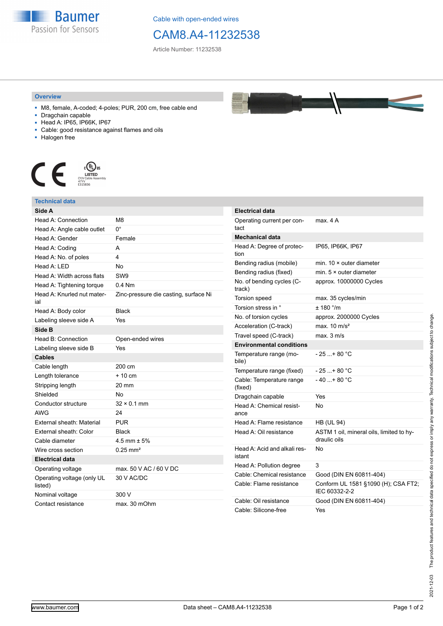

Cable with open-ended wires

## CAM8.A4-11232538

Article Number: 11232538

## **Overview**

- M8, female, A-coded; 4-poles; PUR, 200 cm, free cable end
- Dragchain capable
- Head A: IP65, IP66K, IP67
- Cable: good resistance against flames and oils
- Halogen free



## **Technical data**

| Side A                                |                                       |
|---------------------------------------|---------------------------------------|
| Head A: Connection                    | M8                                    |
| Head A: Angle cable outlet            | 0°                                    |
| Head A: Gender                        | Female                                |
| Head A: Coding                        | A                                     |
| Head A: No. of poles                  | 4                                     |
| Head A: LED                           | <b>No</b>                             |
| Head A: Width across flats            | SW9                                   |
| Head A: Tightening torque             | $0.4$ Nm                              |
| Head A: Knurled nut mater-<br>ial     | Zinc-pressure die casting, surface Ni |
| Head A: Body color                    | <b>Black</b>                          |
| Labeling sleeve side A                | Yes                                   |
| Side B                                |                                       |
| Head B: Connection                    | Open-ended wires                      |
| Labeling sleeve side B                | Yes                                   |
| <b>Cables</b>                         |                                       |
| Cable length                          | 200 cm                                |
| Length tolerance                      | $+10cm$                               |
| Stripping length                      | 20 mm                                 |
| Shielded                              | No                                    |
| Conductor structure                   | $32 \times 0.1$ mm                    |
| AWG                                   | 24                                    |
| External sheath: Material             | <b>PUR</b>                            |
| External sheath: Color                | Black                                 |
| Cable diameter                        | 4.5 mm $\pm$ 5%                       |
| Wire cross section                    | $0.25$ mm <sup>2</sup>                |
| <b>Electrical data</b>                |                                       |
| Operating voltage                     | max, 50 V AC / 60 V DC                |
| Operating voltage (only UL<br>listed) | 30 V AC/DC                            |
| Nominal voltage                       | 300 V                                 |
| Contact resistance                    | max. 30 mOhm                          |

| <b>Electrical data</b>                 |                                                          |
|----------------------------------------|----------------------------------------------------------|
| Operating current per con-             | max. 4 A                                                 |
| tact                                   |                                                          |
| <b>Mechanical data</b>                 |                                                          |
| Head A: Degree of protec-              | IP65, IP66K, IP67                                        |
| tion                                   |                                                          |
| Bending radius (mobile)                | min. $10 \times$ outer diameter                          |
| Bending radius (fixed)                 | min. $5 \times$ outer diameter                           |
| No. of bending cycles (C-<br>track)    | approx. 10000000 Cycles                                  |
| Torsion speed                          | max. 35 cycles/min                                       |
| Torsion stress in °                    | ± 180 °/m                                                |
| No. of torsion cycles                  | approx. 2000000 Cycles                                   |
| Acceleration (C-track)                 | max. $10 \text{ m/s}^2$                                  |
| Travel speed (C-track)                 | max. 3 m/s                                               |
| <b>Environmental conditions</b>        |                                                          |
| Temperature range (mo-<br>bile)        | - 25 + 80 °C                                             |
| Temperature range (fixed)              | - 25 + 80 °C                                             |
| Cable: Temperature range<br>(fixed)    | - 40 + 80 °C                                             |
| Dragchain capable                      | Yes                                                      |
| Head A: Chemical resist-<br>ance       | No                                                       |
| Head A: Flame resistance               | <b>HB (UL 94)</b>                                        |
| Head A: Oil resistance                 | ASTM 1 oil, mineral oils, limited to hy-<br>draulic oils |
| Head A: Acid and alkali res-<br>istant | N٥                                                       |
| Head A: Pollution degree               | 3                                                        |
| Cable: Chemical resistance             | Good (DIN EN 60811-404)                                  |
| Cable: Flame resistance                | Conform UL 1581 §1090 (H); CSA FT2;<br>IEC 60332-2-2     |
| Cable: Oil resistance                  | Good (DIN EN 60811-404)                                  |
| Cable: Silicone-free                   | Yes                                                      |